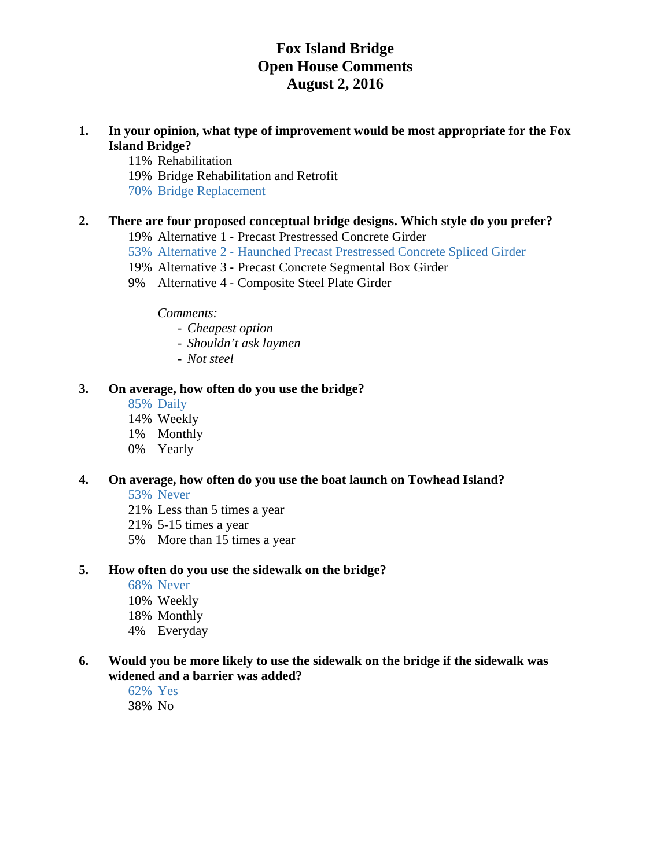- **1. In your opinion, what type of improvement would be most appropriate for the Fox Island Bridge?** 
	- 11% Rehabilitation
	- 19% Bridge Rehabilitation and Retrofit
	- 70% Bridge Replacement

#### **2. There are four proposed conceptual bridge designs. Which style do you prefer?**

- 19% Alternative 1 ‐ Precast Prestressed Concrete Girder
- 53% Alternative 2 ‐ Haunched Precast Prestressed Concrete Spliced Girder
- 19% Alternative 3 ‐ Precast Concrete Segmental Box Girder
- 9% Alternative 4 ‐ Composite Steel Plate Girder

*Comments:* 

- *Cheapest option*
- *Shouldn't ask laymen*
- *Not steel*

### **3. On average, how often do you use the bridge?**

- 85% Daily
- 14% Weekly
- 1% Monthly
- 0% Yearly

### **4. On average, how often do you use the boat launch on Towhead Island?**

53% Never

- 21% Less than 5 times a year
- 21% 5-15 times a year
- 5% More than 15 times a year

#### **5. How often do you use the sidewalk on the bridge?**

- 68% Never
- 10% Weekly
- 18% Monthly
- 4% Everyday

# **6. Would you be more likely to use the sidewalk on the bridge if the sidewalk was widened and a barrier was added?**

62% Yes 38% No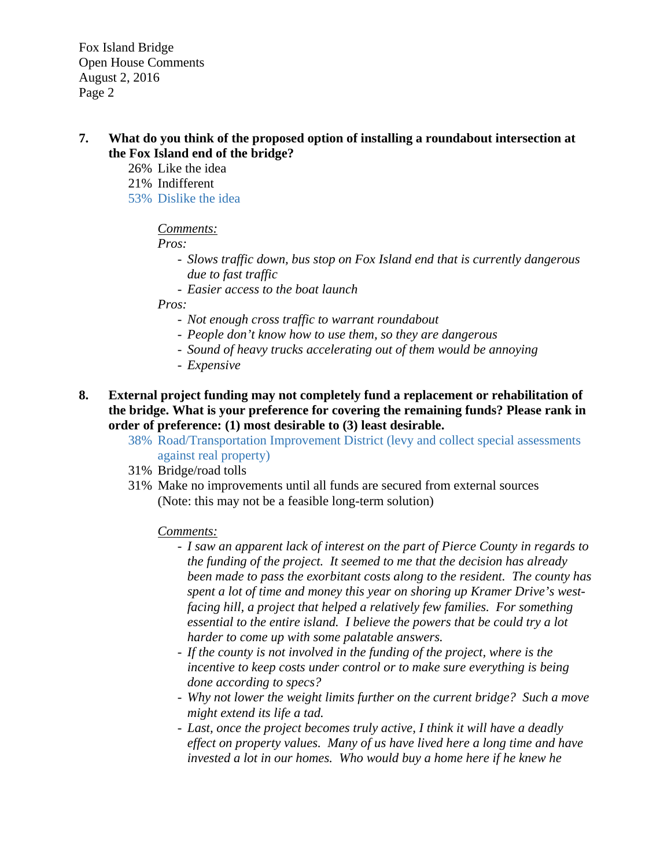- **7. What do you think of the proposed option of installing a roundabout intersection at the Fox Island end of the bridge?** 
	- 26% Like the idea
	- 21% Indifferent
	- 53% Dislike the idea

# *Comments:*

 *Pros:* 

- *Slows traffic down, bus stop on Fox Island end that is currently dangerous due to fast traffic*
- *Easier access to the boat launch*

 *Pros:* 

- *Not enough cross traffic to warrant roundabout*
- *People don't know how to use them, so they are dangerous*
- *Sound of heavy trucks accelerating out of them would be annoying*
- *Expensive*
- **8. External project funding may not completely fund a replacement or rehabilitation of the bridge. What is your preference for covering the remaining funds? Please rank in order of preference: (1) most desirable to (3) least desirable.** 
	- 38% Road/Transportation Improvement District (levy and collect special assessments against real property)
	- 31% Bridge/road tolls
	- 31% Make no improvements until all funds are secured from external sources (Note: this may not be a feasible long-term solution)

### *Comments:*

- *I saw an apparent lack of interest on the part of Pierce County in regards to the funding of the project. It seemed to me that the decision has already been made to pass the exorbitant costs along to the resident. The county has spent a lot of time and money this year on shoring up Kramer Drive's westfacing hill, a project that helped a relatively few families. For something essential to the entire island. I believe the powers that be could try a lot harder to come up with some palatable answers.*
- *If the county is not involved in the funding of the project, where is the incentive to keep costs under control or to make sure everything is being done according to specs?*
- *Why not lower the weight limits further on the current bridge? Such a move might extend its life a tad.*
- *Last, once the project becomes truly active, I think it will have a deadly effect on property values. Many of us have lived here a long time and have invested a lot in our homes. Who would buy a home here if he knew he*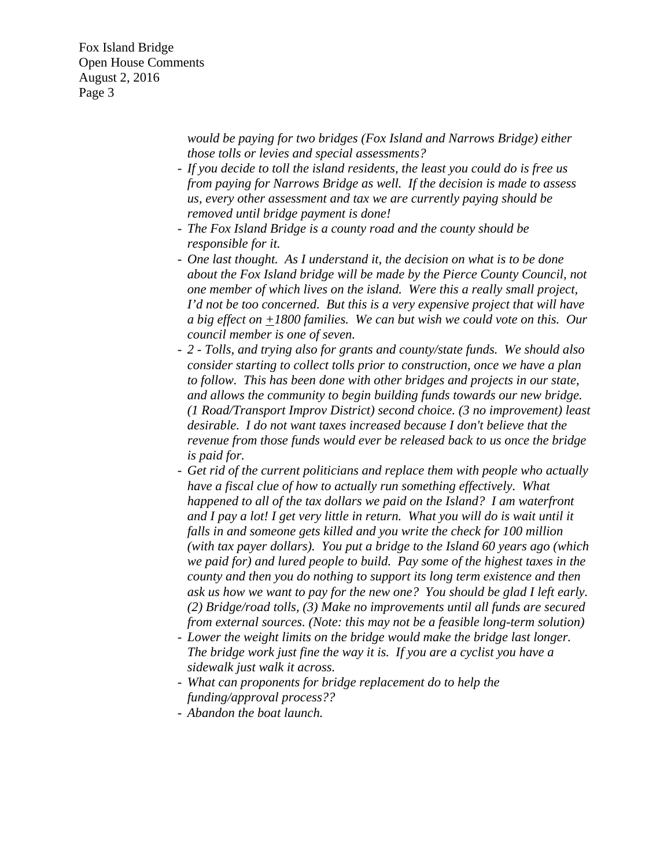> *would be paying for two bridges (Fox Island and Narrows Bridge) either those tolls or levies and special assessments?*

- *If you decide to toll the island residents, the least you could do is free us from paying for Narrows Bridge as well. If the decision is made to assess us, every other assessment and tax we are currently paying should be removed until bridge payment is done!*
- *The Fox Island Bridge is a county road and the county should be responsible for it.*
- *One last thought. As I understand it, the decision on what is to be done about the Fox Island bridge will be made by the Pierce County Council, not one member of which lives on the island. Were this a really small project, I'd not be too concerned. But this is a very expensive project that will have a big effect on*  $\pm$ 1800 families. We can but wish we could vote on this. Our *council member is one of seven.*
- *2 Tolls, and trying also for grants and county/state funds. We should also consider starting to collect tolls prior to construction, once we have a plan to follow. This has been done with other bridges and projects in our state, and allows the community to begin building funds towards our new bridge. (1 Road/Transport Improv District) second choice. (3 no improvement) least desirable. I do not want taxes increased because I don't believe that the revenue from those funds would ever be released back to us once the bridge is paid for.*
- *Get rid of the current politicians and replace them with people who actually have a fiscal clue of how to actually run something effectively. What happened to all of the tax dollars we paid on the Island? I am waterfront*  and I pay a lot! I get very little in return. What you will do is wait until it *falls in and someone gets killed and you write the check for 100 million (with tax payer dollars). You put a bridge to the Island 60 years ago (which we paid for) and lured people to build. Pay some of the highest taxes in the county and then you do nothing to support its long term existence and then ask us how we want to pay for the new one? You should be glad I left early. (2) Bridge/road tolls, (3) Make no improvements until all funds are secured from external sources. (Note: this may not be a feasible long-term solution)*
- *Lower the weight limits on the bridge would make the bridge last longer. The bridge work just fine the way it is. If you are a cyclist you have a sidewalk just walk it across.*
- *What can proponents for bridge replacement do to help the funding/approval process??*
- *Abandon the boat launch.*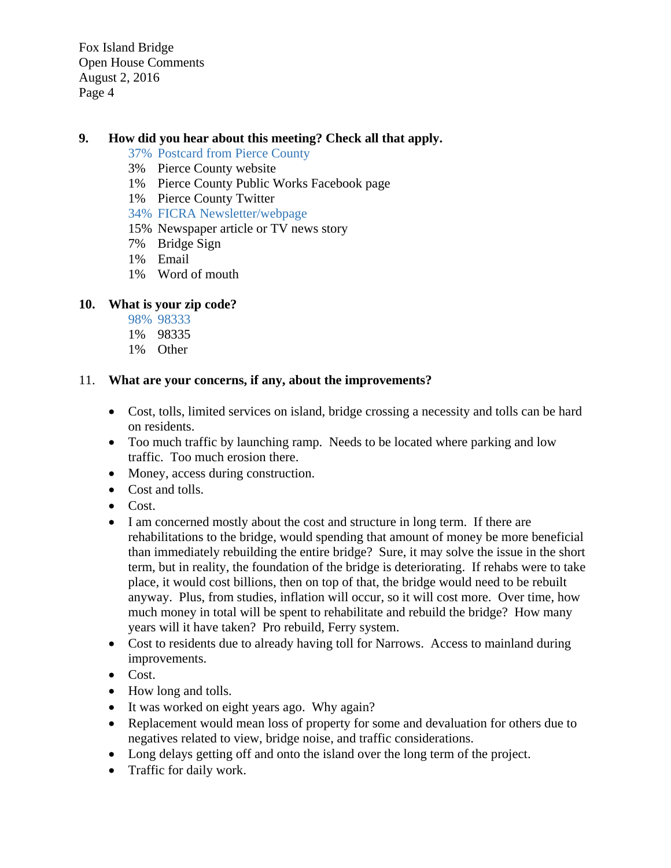# **9. How did you hear about this meeting? Check all that apply.**

- 37% Postcard from Pierce County
- 3% Pierce County website
- 1% Pierce County Public Works Facebook page
- 1% Pierce County Twitter
- 34% FICRA Newsletter/webpage
- 15% Newspaper article or TV news story
- 7% Bridge Sign
- 1% Email
- 1% Word of mouth

# **10. What is your zip code?**

- 98% 98333
- 1% 98335
- 1% Other

### 11. **What are your concerns, if any, about the improvements?**

- Cost, tolls, limited services on island, bridge crossing a necessity and tolls can be hard on residents.
- Too much traffic by launching ramp. Needs to be located where parking and low traffic. Too much erosion there.
- Money, access during construction.
- Cost and tolls.
- Cost.
- I am concerned mostly about the cost and structure in long term. If there are rehabilitations to the bridge, would spending that amount of money be more beneficial than immediately rebuilding the entire bridge? Sure, it may solve the issue in the short term, but in reality, the foundation of the bridge is deteriorating. If rehabs were to take place, it would cost billions, then on top of that, the bridge would need to be rebuilt anyway. Plus, from studies, inflation will occur, so it will cost more. Over time, how much money in total will be spent to rehabilitate and rebuild the bridge? How many years will it have taken? Pro rebuild, Ferry system.
- Cost to residents due to already having toll for Narrows. Access to mainland during improvements.
- Cost.
- How long and tolls.
- It was worked on eight years ago. Why again?
- Replacement would mean loss of property for some and devaluation for others due to negatives related to view, bridge noise, and traffic considerations.
- Long delays getting off and onto the island over the long term of the project.
- Traffic for daily work.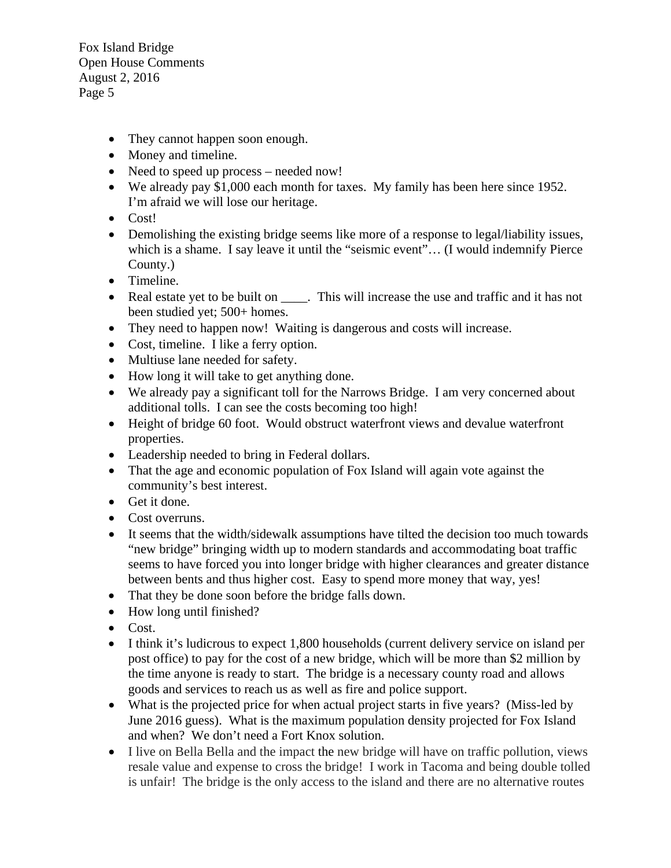- They cannot happen soon enough.
- Money and timeline.
- Need to speed up process needed now!
- We already pay \$1,000 each month for taxes. My family has been here since 1952. I'm afraid we will lose our heritage.
- Cost!
- Demolishing the existing bridge seems like more of a response to legal/liability issues, which is a shame. I say leave it until the "seismic event"... (I would indemnify Pierce County.)
- Timeline.
- Real estate yet to be built on This will increase the use and traffic and it has not been studied yet; 500+ homes.
- They need to happen now! Waiting is dangerous and costs will increase.
- Cost, timeline. I like a ferry option.
- Multiuse lane needed for safety.
- How long it will take to get anything done.
- We already pay a significant toll for the Narrows Bridge. I am very concerned about additional tolls. I can see the costs becoming too high!
- Height of bridge 60 foot. Would obstruct waterfront views and devalue waterfront properties.
- Leadership needed to bring in Federal dollars.
- That the age and economic population of Fox Island will again vote against the community's best interest.
- Get it done.
- Cost overruns.
- It seems that the width/sidewalk assumptions have tilted the decision too much towards "new bridge" bringing width up to modern standards and accommodating boat traffic seems to have forced you into longer bridge with higher clearances and greater distance between bents and thus higher cost. Easy to spend more money that way, yes!
- That they be done soon before the bridge falls down.
- How long until finished?
- $\bullet$  Cost.
- I think it's ludicrous to expect 1,800 households (current delivery service on island per post office) to pay for the cost of a new bridge, which will be more than \$2 million by the time anyone is ready to start. The bridge is a necessary county road and allows goods and services to reach us as well as fire and police support.
- What is the projected price for when actual project starts in five years? (Miss-led by June 2016 guess). What is the maximum population density projected for Fox Island and when? We don't need a Fort Knox solution.
- I live on Bella Bella and the impact the new bridge will have on traffic pollution, views resale value and expense to cross the bridge! I work in Tacoma and being double tolled is unfair! The bridge is the only access to the island and there are no alternative routes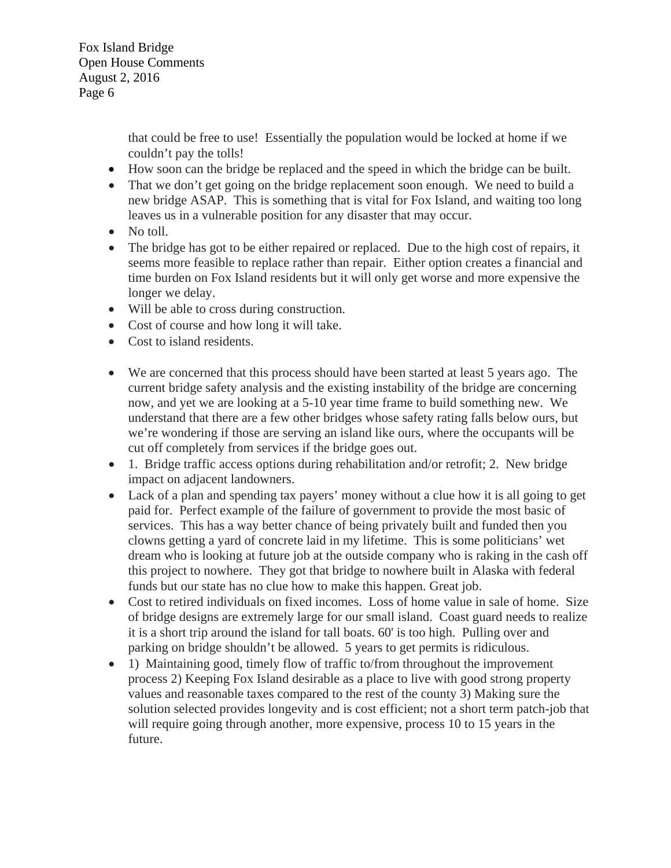> that could be free to use! Essentially the population would be locked at home if we couldn't pay the tolls!

- How soon can the bridge be replaced and the speed in which the bridge can be built.
- That we don't get going on the bridge replacement soon enough. We need to build a new bridge ASAP. This is something that is vital for Fox Island, and waiting too long leaves us in a vulnerable position for any disaster that may occur.
- No toll.
- The bridge has got to be either repaired or replaced. Due to the high cost of repairs, it seems more feasible to replace rather than repair. Either option creates a financial and time burden on Fox Island residents but it will only get worse and more expensive the longer we delay.
- Will be able to cross during construction.
- Cost of course and how long it will take.
- Cost to island residents.
- We are concerned that this process should have been started at least 5 years ago. The current bridge safety analysis and the existing instability of the bridge are concerning now, and yet we are looking at a 5-10 year time frame to build something new. We understand that there are a few other bridges whose safety rating falls below ours, but we're wondering if those are serving an island like ours, where the occupants will be cut off completely from services if the bridge goes out.
- 1. Bridge traffic access options during rehabilitation and/or retrofit; 2. New bridge impact on adjacent landowners.
- Lack of a plan and spending tax payers' money without a clue how it is all going to get paid for. Perfect example of the failure of government to provide the most basic of services. This has a way better chance of being privately built and funded then you clowns getting a yard of concrete laid in my lifetime. This is some politicians' wet dream who is looking at future job at the outside company who is raking in the cash off this project to nowhere. They got that bridge to nowhere built in Alaska with federal funds but our state has no clue how to make this happen. Great job.
- Cost to retired individuals on fixed incomes. Loss of home value in sale of home. Size of bridge designs are extremely large for our small island. Coast guard needs to realize it is a short trip around the island for tall boats. 60' is too high. Pulling over and parking on bridge shouldn't be allowed. 5 years to get permits is ridiculous.
- 1) Maintaining good, timely flow of traffic to/from throughout the improvement process 2) Keeping Fox Island desirable as a place to live with good strong property values and reasonable taxes compared to the rest of the county 3) Making sure the solution selected provides longevity and is cost efficient; not a short term patch-job that will require going through another, more expensive, process 10 to 15 years in the future.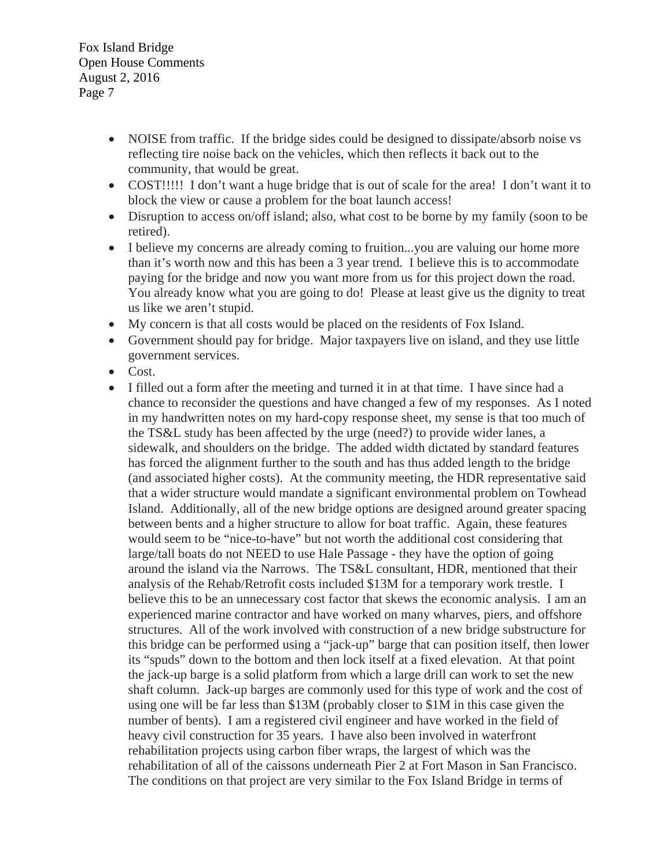- NOISE from traffic. If the bridge sides could be designed to dissipate/absorb noise vs reflecting tire noise back on the vehicles, which then reflects it back out to the community, that would be great.
- COST!!!!! I don't want a huge bridge that is out of scale for the area! I don't want it to block the view or cause a problem for the boat launch access!
- Disruption to access on/off island; also, what cost to be borne by my family (soon to be retired).
- I believe my concerns are already coming to fruition...you are valuing our home more than it's worth now and this has been a 3 year trend. I believe this is to accommodate paying for the bridge and now you want more from us for this project down the road. You already know what you are going to do! Please at least give us the dignity to treat us like we aren't stupid.
- My concern is that all costs would be placed on the residents of Fox Island.
- Government should pay for bridge. Major taxpayers live on island, and they use little government services.
- Cost.
- I filled out a form after the meeting and turned it in at that time. I have since had a chance to reconsider the questions and have changed a few of my responses. As I noted in my handwritten notes on my hard-copy response sheet, my sense is that too much of the TS&L study has been affected by the urge (need?) to provide wider lanes, a sidewalk, and shoulders on the bridge. The added width dictated by standard features has forced the alignment further to the south and has thus added length to the bridge (and associated higher costs). At the community meeting, the HDR representative said that a wider structure would mandate a significant environmental problem on Towhead Island. Additionally, all of the new bridge options are designed around greater spacing between bents and a higher structure to allow for boat traffic. Again, these features would seem to be "nice-to-have" but not worth the additional cost considering that large/tall boats do not NEED to use Hale Passage - they have the option of going around the island via the Narrows. The TS&L consultant, HDR, mentioned that their analysis of the Rehab/Retrofit costs included \$13M for a temporary work trestle. I believe this to be an unnecessary cost factor that skews the economic analysis. I am an experienced marine contractor and have worked on many wharves, piers, and offshore structures. All of the work involved with construction of a new bridge substructure for this bridge can be performed using a "jack-up" barge that can position itself, then lower its "spuds" down to the bottom and then lock itself at a fixed elevation. At that point the jack-up barge is a solid platform from which a large drill can work to set the new shaft column. Jack-up barges are commonly used for this type of work and the cost of using one will be far less than \$13M (probably closer to \$1M in this case given the number of bents). I am a registered civil engineer and have worked in the field of heavy civil construction for 35 years. I have also been involved in waterfront rehabilitation projects using carbon fiber wraps, the largest of which was the rehabilitation of all of the caissons underneath Pier 2 at Fort Mason in San Francisco. The conditions on that project are very similar to the Fox Island Bridge in terms of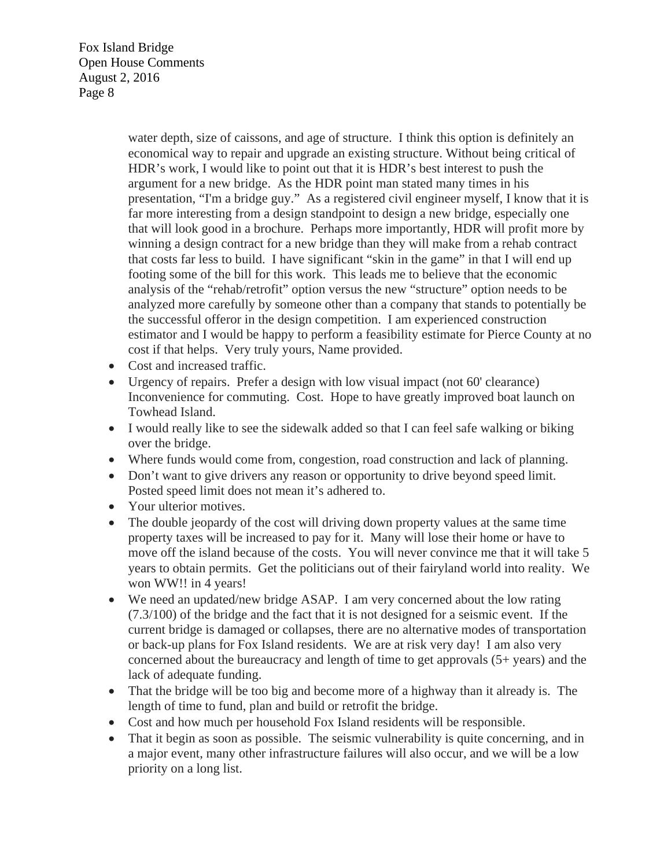> water depth, size of caissons, and age of structure. I think this option is definitely an economical way to repair and upgrade an existing structure. Without being critical of HDR's work, I would like to point out that it is HDR's best interest to push the argument for a new bridge. As the HDR point man stated many times in his presentation, "I'm a bridge guy." As a registered civil engineer myself, I know that it is far more interesting from a design standpoint to design a new bridge, especially one that will look good in a brochure. Perhaps more importantly, HDR will profit more by winning a design contract for a new bridge than they will make from a rehab contract that costs far less to build. I have significant "skin in the game" in that I will end up footing some of the bill for this work. This leads me to believe that the economic analysis of the "rehab/retrofit" option versus the new "structure" option needs to be analyzed more carefully by someone other than a company that stands to potentially be the successful offeror in the design competition. I am experienced construction estimator and I would be happy to perform a feasibility estimate for Pierce County at no cost if that helps. Very truly yours, Name provided.

- Cost and increased traffic.
- Urgency of repairs. Prefer a design with low visual impact (not 60' clearance) Inconvenience for commuting. Cost. Hope to have greatly improved boat launch on Towhead Island.
- I would really like to see the sidewalk added so that I can feel safe walking or biking over the bridge.
- Where funds would come from, congestion, road construction and lack of planning.
- Don't want to give drivers any reason or opportunity to drive beyond speed limit. Posted speed limit does not mean it's adhered to.
- Your ulterior motives.
- The double jeopardy of the cost will driving down property values at the same time property taxes will be increased to pay for it. Many will lose their home or have to move off the island because of the costs. You will never convince me that it will take 5 years to obtain permits. Get the politicians out of their fairyland world into reality. We won WW!! in 4 years!
- We need an updated/new bridge ASAP. I am very concerned about the low rating (7.3/100) of the bridge and the fact that it is not designed for a seismic event. If the current bridge is damaged or collapses, there are no alternative modes of transportation or back-up plans for Fox Island residents. We are at risk very day! I am also very concerned about the bureaucracy and length of time to get approvals (5+ years) and the lack of adequate funding.
- That the bridge will be too big and become more of a highway than it already is. The length of time to fund, plan and build or retrofit the bridge.
- Cost and how much per household Fox Island residents will be responsible.
- That it begin as soon as possible. The seismic vulnerability is quite concerning, and in a major event, many other infrastructure failures will also occur, and we will be a low priority on a long list.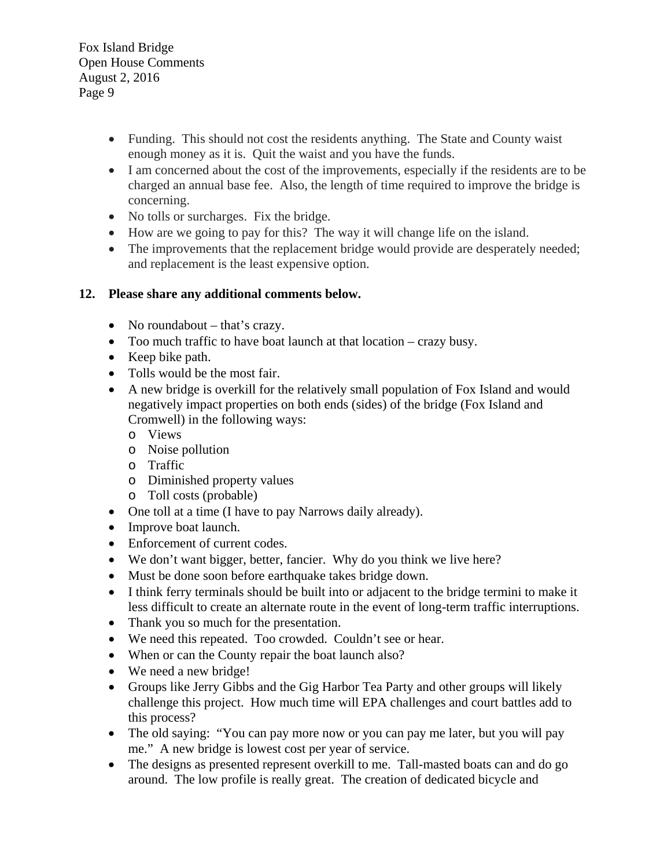- Funding. This should not cost the residents anything. The State and County waist enough money as it is. Quit the waist and you have the funds.
- I am concerned about the cost of the improvements, especially if the residents are to be charged an annual base fee. Also, the length of time required to improve the bridge is concerning.
- No tolls or surcharges. Fix the bridge.
- How are we going to pay for this? The way it will change life on the island.
- The improvements that the replacement bridge would provide are desperately needed; and replacement is the least expensive option.

# **12. Please share any additional comments below.**

- No roundabout that's crazy.
- Too much traffic to have boat launch at that location crazy busy.
- Keep bike path.
- Tolls would be the most fair.
- A new bridge is overkill for the relatively small population of Fox Island and would negatively impact properties on both ends (sides) of the bridge (Fox Island and Cromwell) in the following ways:
	- o Views
	- o Noise pollution
	- o Traffic
	- o Diminished property values
	- o Toll costs (probable)
- One toll at a time (I have to pay Narrows daily already).
- Improve boat launch.
- Enforcement of current codes.
- We don't want bigger, better, fancier. Why do you think we live here?
- Must be done soon before earthquake takes bridge down.
- I think ferry terminals should be built into or adjacent to the bridge termini to make it less difficult to create an alternate route in the event of long-term traffic interruptions.
- Thank you so much for the presentation.
- We need this repeated. Too crowded. Couldn't see or hear.
- When or can the County repair the boat launch also?
- We need a new bridge!
- Groups like Jerry Gibbs and the Gig Harbor Tea Party and other groups will likely challenge this project. How much time will EPA challenges and court battles add to this process?
- The old saying: "You can pay more now or you can pay me later, but you will pay me." A new bridge is lowest cost per year of service.
- The designs as presented represent overkill to me. Tall-masted boats can and do go around. The low profile is really great. The creation of dedicated bicycle and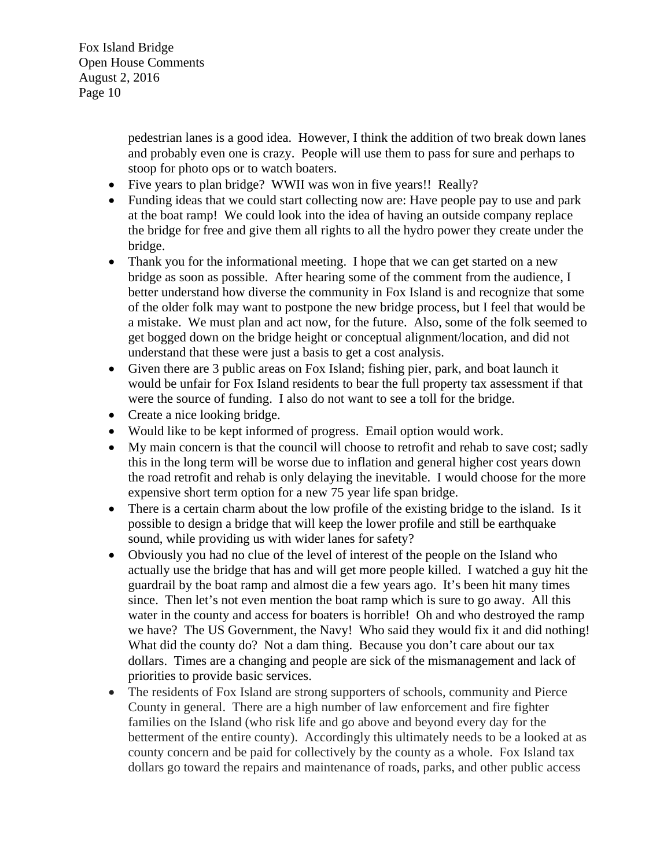> pedestrian lanes is a good idea. However, I think the addition of two break down lanes and probably even one is crazy. People will use them to pass for sure and perhaps to stoop for photo ops or to watch boaters.

- Five years to plan bridge? WWII was won in five years!! Really?
- Funding ideas that we could start collecting now are: Have people pay to use and park at the boat ramp! We could look into the idea of having an outside company replace the bridge for free and give them all rights to all the hydro power they create under the bridge.
- Thank you for the informational meeting. I hope that we can get started on a new bridge as soon as possible. After hearing some of the comment from the audience, I better understand how diverse the community in Fox Island is and recognize that some of the older folk may want to postpone the new bridge process, but I feel that would be a mistake. We must plan and act now, for the future. Also, some of the folk seemed to get bogged down on the bridge height or conceptual alignment/location, and did not understand that these were just a basis to get a cost analysis.
- Given there are 3 public areas on Fox Island; fishing pier, park, and boat launch it would be unfair for Fox Island residents to bear the full property tax assessment if that were the source of funding. I also do not want to see a toll for the bridge.
- Create a nice looking bridge.
- Would like to be kept informed of progress. Email option would work.
- My main concern is that the council will choose to retrofit and rehab to save cost; sadly this in the long term will be worse due to inflation and general higher cost years down the road retrofit and rehab is only delaying the inevitable. I would choose for the more expensive short term option for a new 75 year life span bridge.
- There is a certain charm about the low profile of the existing bridge to the island. Is it possible to design a bridge that will keep the lower profile and still be earthquake sound, while providing us with wider lanes for safety?
- Obviously you had no clue of the level of interest of the people on the Island who actually use the bridge that has and will get more people killed. I watched a guy hit the guardrail by the boat ramp and almost die a few years ago. It's been hit many times since. Then let's not even mention the boat ramp which is sure to go away. All this water in the county and access for boaters is horrible! Oh and who destroyed the ramp we have? The US Government, the Navy! Who said they would fix it and did nothing! What did the county do? Not a dam thing. Because you don't care about our tax dollars. Times are a changing and people are sick of the mismanagement and lack of priorities to provide basic services.
- The residents of Fox Island are strong supporters of schools, community and Pierce County in general. There are a high number of law enforcement and fire fighter families on the Island (who risk life and go above and beyond every day for the betterment of the entire county). Accordingly this ultimately needs to be a looked at as county concern and be paid for collectively by the county as a whole. Fox Island tax dollars go toward the repairs and maintenance of roads, parks, and other public access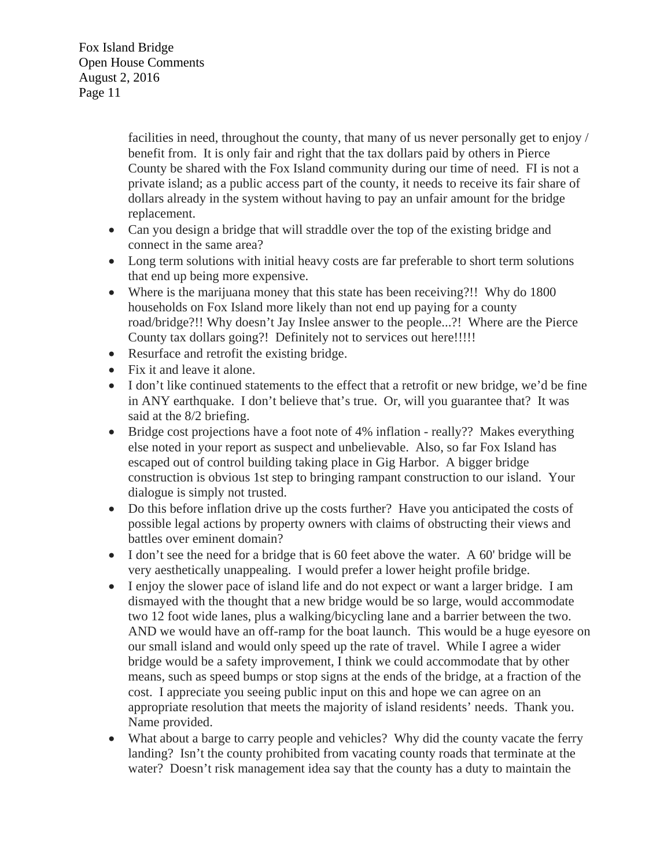> facilities in need, throughout the county, that many of us never personally get to enjoy / benefit from. It is only fair and right that the tax dollars paid by others in Pierce County be shared with the Fox Island community during our time of need. FI is not a private island; as a public access part of the county, it needs to receive its fair share of dollars already in the system without having to pay an unfair amount for the bridge replacement.

- Can you design a bridge that will straddle over the top of the existing bridge and connect in the same area?
- Long term solutions with initial heavy costs are far preferable to short term solutions that end up being more expensive.
- Where is the marijuana money that this state has been receiving?!! Why do 1800 households on Fox Island more likely than not end up paying for a county road/bridge?!! Why doesn't Jay Inslee answer to the people...?! Where are the Pierce County tax dollars going?! Definitely not to services out here!!!!!
- Resurface and retrofit the existing bridge.
- Fix it and leave it alone.
- I don't like continued statements to the effect that a retrofit or new bridge, we'd be fine in ANY earthquake. I don't believe that's true. Or, will you guarantee that? It was said at the 8/2 briefing.
- Bridge cost projections have a foot note of 4% inflation really?? Makes everything else noted in your report as suspect and unbelievable. Also, so far Fox Island has escaped out of control building taking place in Gig Harbor. A bigger bridge construction is obvious 1st step to bringing rampant construction to our island. Your dialogue is simply not trusted.
- Do this before inflation drive up the costs further? Have you anticipated the costs of possible legal actions by property owners with claims of obstructing their views and battles over eminent domain?
- I don't see the need for a bridge that is 60 feet above the water. A 60' bridge will be very aesthetically unappealing. I would prefer a lower height profile bridge.
- I enjoy the slower pace of island life and do not expect or want a larger bridge. I am dismayed with the thought that a new bridge would be so large, would accommodate two 12 foot wide lanes, plus a walking/bicycling lane and a barrier between the two. AND we would have an off-ramp for the boat launch. This would be a huge eyesore on our small island and would only speed up the rate of travel. While I agree a wider bridge would be a safety improvement, I think we could accommodate that by other means, such as speed bumps or stop signs at the ends of the bridge, at a fraction of the cost. I appreciate you seeing public input on this and hope we can agree on an appropriate resolution that meets the majority of island residents' needs. Thank you. Name provided.
- What about a barge to carry people and vehicles? Why did the county vacate the ferry landing? Isn't the county prohibited from vacating county roads that terminate at the water? Doesn't risk management idea say that the county has a duty to maintain the